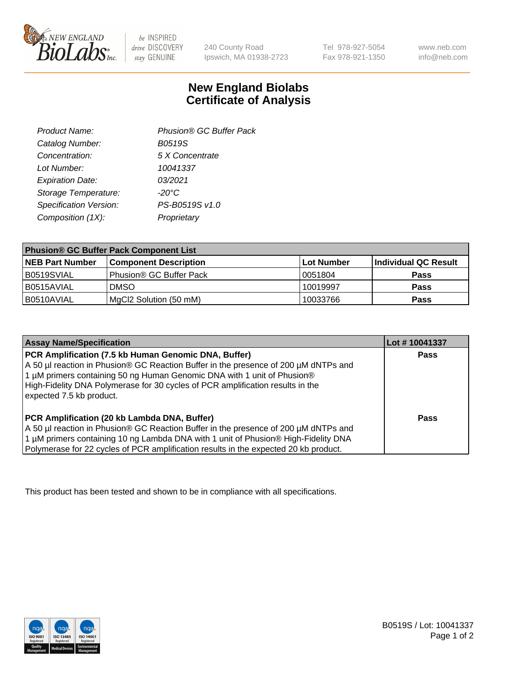

be INSPIRED drive DISCOVERY stay GENUINE

240 County Road Ipswich, MA 01938-2723 Tel 978-927-5054 Fax 978-921-1350

www.neb.com info@neb.com

## **New England Biolabs Certificate of Analysis**

| Phusion® GC Buffer Pack |
|-------------------------|
| <b>B0519S</b>           |
| 5 X Concentrate         |
| 10041337                |
| 03/2021                 |
| $-20^{\circ}$ C         |
| PS-B0519S v1.0          |
| Proprietary             |
|                         |

| <b>Phusion® GC Buffer Pack Component List</b> |                              |            |                      |  |
|-----------------------------------------------|------------------------------|------------|----------------------|--|
| <b>NEB Part Number</b>                        | <b>Component Description</b> | Lot Number | Individual QC Result |  |
| B0519SVIAL                                    | Phusion® GC Buffer Pack      | 10051804   | <b>Pass</b>          |  |
| B0515AVIAL                                    | <b>DMSO</b>                  | 10019997   | <b>Pass</b>          |  |
| I B0510AVIAL                                  | MgCl2 Solution (50 mM)       | 10033766   | <b>Pass</b>          |  |

| <b>Assay Name/Specification</b>                                                                                                                                                                                                                                                                                                      | Lot #10041337 |
|--------------------------------------------------------------------------------------------------------------------------------------------------------------------------------------------------------------------------------------------------------------------------------------------------------------------------------------|---------------|
| PCR Amplification (7.5 kb Human Genomic DNA, Buffer)<br>A 50 µl reaction in Phusion® GC Reaction Buffer in the presence of 200 µM dNTPs and<br>1 µM primers containing 50 ng Human Genomic DNA with 1 unit of Phusion®<br>High-Fidelity DNA Polymerase for 30 cycles of PCR amplification results in the<br>expected 7.5 kb product. | <b>Pass</b>   |
| PCR Amplification (20 kb Lambda DNA, Buffer)<br>A 50 µl reaction in Phusion® GC Reaction Buffer in the presence of 200 µM dNTPs and<br>1 μM primers containing 10 ng Lambda DNA with 1 unit of Phusion® High-Fidelity DNA<br>Polymerase for 22 cycles of PCR amplification results in the expected 20 kb product.                    | Pass          |

This product has been tested and shown to be in compliance with all specifications.